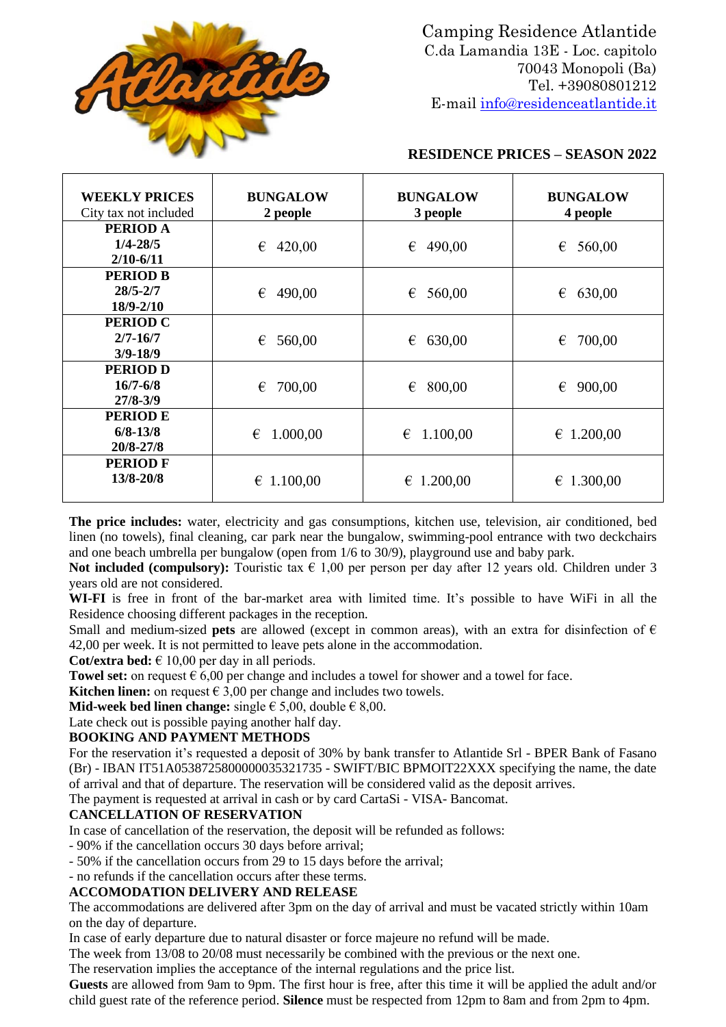

Camping Residence Atlantide C.da Lamandia 13E - Loc. capitolo 70043 Monopoli (Ba) Tel. +39080801212 E-mail [info@residenceatlantide.it](mailto:info@residenceatlantide.it)

### **RESIDENCE PRICES – SEASON 2022**

| <b>WEEKLY PRICES</b><br>City tax not included   | <b>BUNGALOW</b><br>2 people | <b>BUNGALOW</b><br>3 people | <b>BUNGALOW</b><br>4 people |  |
|-------------------------------------------------|-----------------------------|-----------------------------|-----------------------------|--|
| PERIOD A<br>$1/4 - 28/5$                        | 420,00<br>€                 | 490,00<br>€                 | €<br>560,00                 |  |
| $2/10 - 6/11$                                   |                             |                             |                             |  |
| <b>PERIOD B</b><br>$28/5 - 2/7$<br>18/9-2/10    | 490,00<br>€                 | €<br>560,00                 | €<br>630,00                 |  |
| <b>PERIOD C</b><br>$2/7 - 16/7$<br>$3/9 - 18/9$ | 560,00<br>€                 | 630,00<br>€                 | 700,00<br>€                 |  |
| <b>PERIOD D</b><br>$16/7 - 6/8$<br>$27/8 - 3/9$ | 700,00<br>€                 | 800,00<br>€                 | €<br>900,00                 |  |
| <b>PERIOD E</b><br>$6/8 - 13/8$<br>20/8-27/8    | 1.000,00<br>€               | 1.100,00<br>€               | $\epsilon$ 1.200,00         |  |
| <b>PERIOD F</b><br>13/8-20/8                    | 1.100,00<br>€               | $\epsilon$ 1.200,00         | € 1.300,00                  |  |

**The price includes:** water, electricity and gas consumptions, kitchen use, television, air conditioned, bed linen (no towels), final cleaning, car park near the bungalow, swimming-pool entrance with two deckchairs and one beach umbrella per bungalow (open from 1/6 to 30/9), playground use and baby park.

**Not included (compulsory):** Touristic tax  $\in$  1,00 per person per day after 12 years old. Children under 3 years old are not considered.

**WI-FI** is free in front of the bar-market area with limited time. It's possible to have WiFi in all the Residence choosing different packages in the reception.

Small and medium-sized **pets** are allowed (except in common areas), with an extra for disinfection of  $\epsilon$ 42,00 per week. It is not permitted to leave pets alone in the accommodation.

**Cot/extra bed:**  $\in$  10,00 per day in all periods.

**Towel set:** on request  $\epsilon$  6,00 per change and includes a towel for shower and a towel for face.

**Kitchen linen:** on request  $\in$  3,00 per change and includes two towels.

**Mid-week bed linen change:** single  $\in$  5,00, double  $\in$  8,00.

Late check out is possible paying another half day.

#### **BOOKING AND PAYMENT METHODS**

For the reservation it's requested a deposit of 30% by bank transfer to Atlantide Srl - BPER Bank of Fasano (Br) - IBAN IT51A0538725800000035321735 - SWIFT/BIC BPMOIT22XXX specifying the name, the date of arrival and that of departure. The reservation will be considered valid as the deposit arrives.

The payment is requested at arrival in cash or by card CartaSi - VISA- Bancomat.

#### **CANCELLATION OF RESERVATION**

In case of cancellation of the reservation, the deposit will be refunded as follows:

- 90% if the cancellation occurs 30 days before arrival;

- 50% if the cancellation occurs from 29 to 15 days before the arrival;

# - no refunds if the cancellation occurs after these terms.

### **ACCOMODATION DELIVERY AND RELEASE**

The accommodations are delivered after 3pm on the day of arrival and must be vacated strictly within 10am on the day of departure.

In case of early departure due to natural disaster or force majeure no refund will be made.

The week from 13/08 to 20/08 must necessarily be combined with the previous or the next one.

The reservation implies the acceptance of the internal regulations and the price list.

**Guests** are allowed from 9am to 9pm. The first hour is free, after this time it will be applied the adult and/or child guest rate of the reference period. **Silence** must be respected from 12pm to 8am and from 2pm to 4pm.